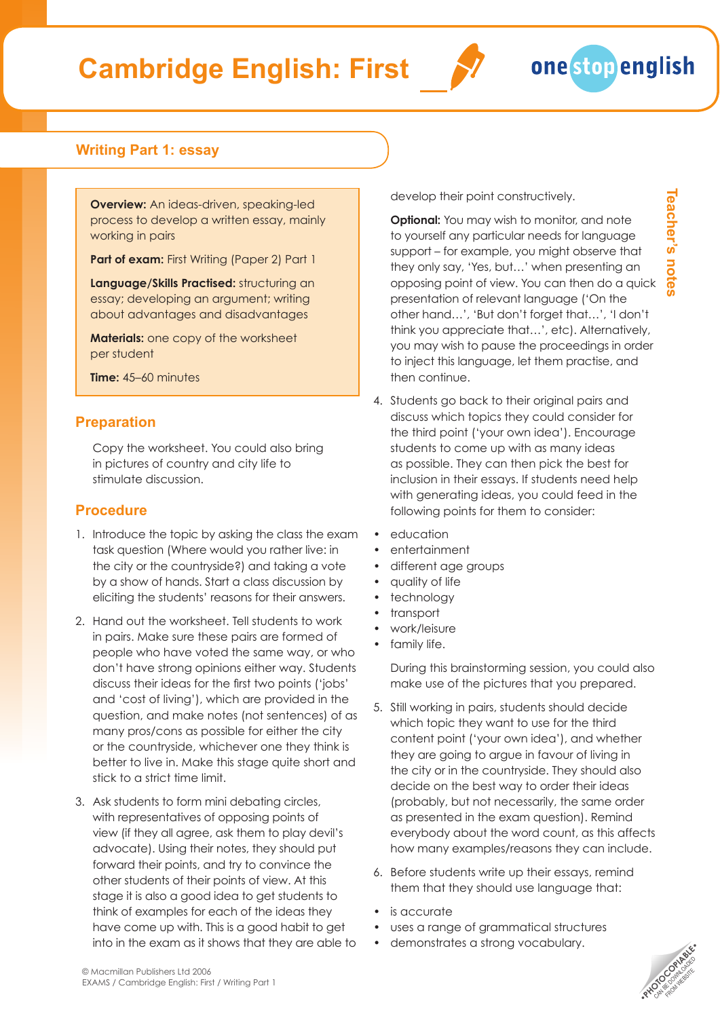## **Cambridge English: First**





**Teacher's notes**

Teacher's notes

### **Writing Part 1: essay**

**Overview:** An ideas-driven, speaking-led process to develop a written essay, mainly working in pairs

**Part of exam:** First Writing (Paper 2) Part 1

**Language/Skills Practised:** structuring an essay; developing an argument; writing about advantages and disadvantages

**Materials:** one copy of the worksheet per student

**Time:** 45–60 minutes

#### **Preparation**

Copy the worksheet. You could also bring in pictures of country and city life to stimulate discussion.

#### **Procedure**

- 1. Introduce the topic by asking the class the exam task question (Where would you rather live: in the city or the countryside?) and taking a vote by a show of hands. Start a class discussion by eliciting the students' reasons for their answers.
- 2. Hand out the worksheet. Tell students to work in pairs. Make sure these pairs are formed of people who have voted the same way, or who don't have strong opinions either way. Students discuss their ideas for the first two points ('jobs' and 'cost of living'), which are provided in the question, and make notes (not sentences) of as many pros/cons as possible for either the city or the countryside, whichever one they think is better to live in. Make this stage quite short and stick to a strict time limit.
- 3. Ask students to form mini debating circles, with representatives of opposing points of view (if they all agree, ask them to play devil's advocate). Using their notes, they should put forward their points, and try to convince the other students of their points of view. At this stage it is also a good idea to get students to think of examples for each of the ideas they have come up with. This is a good habit to get into in the exam as it shows that they are able to

develop their point constructively.

**Optional:** You may wish to monitor, and note to yourself any particular needs for language support – for example, you might observe that they only say, 'Yes, but…' when presenting an opposing point of view. You can then do a quick presentation of relevant language ('On the other hand…', 'But don't forget that…', 'I don't think you appreciate that…', etc). Alternatively, you may wish to pause the proceedings in order to inject this language, let them practise, and then continue.

- 4. Students go back to their original pairs and discuss which topics they could consider for the third point ('your own idea'). Encourage students to come up with as many ideas as possible. They can then pick the best for inclusion in their essays. If students need help with generating ideas, you could feed in the following points for them to consider:
- education
- entertainment
- different age groups
- quality of life
- **technology**
- transport
- work/leisure
- family life.

During this brainstorming session, you could also make use of the pictures that you prepared.

- 5. Still working in pairs, students should decide which topic they want to use for the third content point ('your own idea'), and whether they are going to argue in favour of living in the city or in the countryside. They should also decide on the best way to order their ideas (probably, but not necessarily, the same order as presented in the exam question). Remind everybody about the word count, as this affects how many examples/reasons they can include.
- 6. Before students write up their essays, remind them that they should use language that:
- is accurate
- uses a range of grammatical structures
- demonstrates a strong vocabulary.

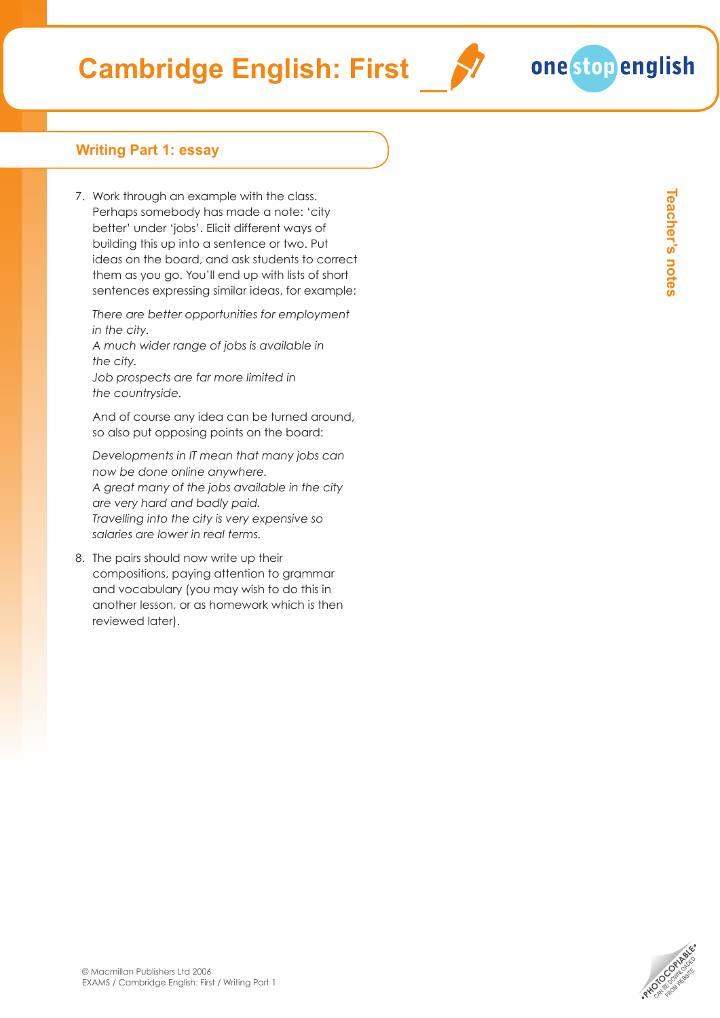# **Cambridge English: First**

### **Writing Part 1: essay**

7. Work through an example with the class. Perhaps somebody has made a note: 'city better' under 'jobs'. Elicit different ways of building this up into a sentence or two. Put ideas on the board, and ask students to correct them as you go. You'll end up with lists of short sentences expressing similar ideas, for example:

*There are better opportunities for employment in the city.*

*A much wider range of jobs is available in the city.*

*Job prospects are far more limited in the countryside.*

And of course any idea can be turned around, so also put opposing points on the board:

*Developments in IT mean that many jobs can now be done online anywhere. A great many of the jobs available in the city are very hard and badly paid. Travelling into the city is very expensive so salaries are lower in real terms.*

8. The pairs should now write up their compositions, paying attention to grammar and vocabulary (you may wish to do this in another lesson, or as homework which is then reviewed later).